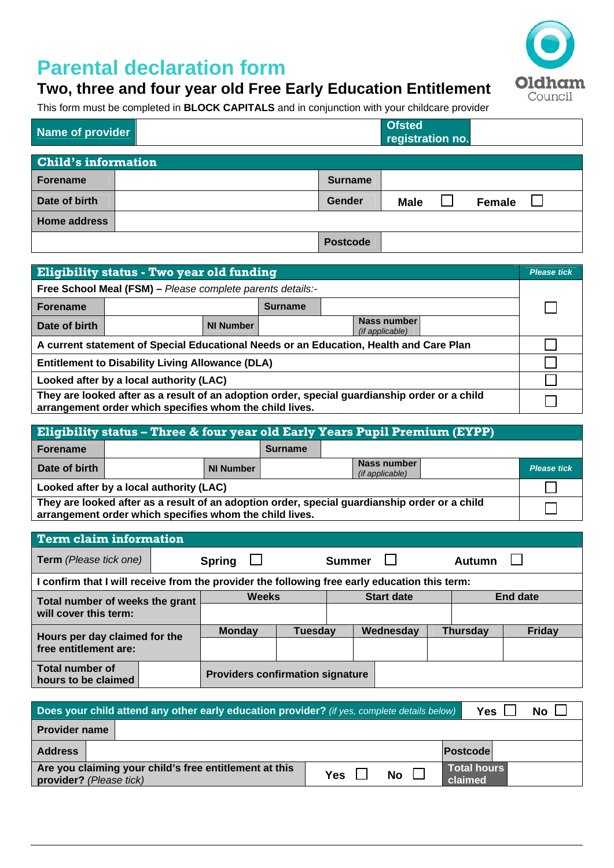## **Parental declaration form**



This form must be completed in **BLOCK CAPITALS** and in conjunction with your childcare provider

| <b>Name of provider</b>    |  |                 |             | <b>Ofsted</b><br>registration no. |               |  |  |  |
|----------------------------|--|-----------------|-------------|-----------------------------------|---------------|--|--|--|
| <b>Child's information</b> |  |                 |             |                                   |               |  |  |  |
| <b>Forename</b>            |  | <b>Surname</b>  |             |                                   |               |  |  |  |
| Date of birth              |  | Gender          | <b>Male</b> |                                   | <b>Female</b> |  |  |  |
| <b>Home address</b>        |  |                 |             |                                   |               |  |  |  |
|                            |  | <b>Postcode</b> |             |                                   |               |  |  |  |

| Eligibility status - Two year old funding                                                                                                                |                  |                                       |  |  |  |
|----------------------------------------------------------------------------------------------------------------------------------------------------------|------------------|---------------------------------------|--|--|--|
| Free School Meal (FSM) - Please complete parents details:-                                                                                               |                  |                                       |  |  |  |
| <b>Forename</b><br><b>Surname</b>                                                                                                                        |                  |                                       |  |  |  |
| Date of birth                                                                                                                                            | <b>NI Number</b> | Nass number<br><i>(if applicable)</i> |  |  |  |
| A current statement of Special Educational Needs or an Education, Health and Care Plan                                                                   |                  |                                       |  |  |  |
| <b>Entitlement to Disability Living Allowance (DLA)</b>                                                                                                  |                  |                                       |  |  |  |
| Looked after by a local authority (LAC)                                                                                                                  |                  |                                       |  |  |  |
| They are looked after as a result of an adoption order, special guardianship order or a child<br>arrangement order which specifies whom the child lives. |                  |                                       |  |  |  |

| <b>Eligibility status - Three &amp; four year old Early Years Pupil Premium (EYPP)</b>                                                                   |  |                  |                |  |                                       |  |                    |
|----------------------------------------------------------------------------------------------------------------------------------------------------------|--|------------------|----------------|--|---------------------------------------|--|--------------------|
| Forename                                                                                                                                                 |  |                  | <b>Surname</b> |  |                                       |  |                    |
| Date of birth                                                                                                                                            |  | <b>NI Number</b> |                |  | Nass number<br><i>(if applicable)</i> |  | <b>Please tick</b> |
| Looked after by a local authority (LAC)                                                                                                                  |  |                  |                |  |                                       |  |                    |
| They are looked after as a result of an adoption order, special guardianship order or a child<br>arrangement order which specifies whom the child lives. |  |                  |                |  |                                       |  |                    |

| <b>Term claim information</b>                                                                 |               |                                         |                   |               |                 |  |                 |               |
|-----------------------------------------------------------------------------------------------|---------------|-----------------------------------------|-------------------|---------------|-----------------|--|-----------------|---------------|
| <b>Term</b> (Please tick one)                                                                 | <b>Spring</b> |                                         |                   | Summer $\Box$ |                 |  | <b>Autumn</b>   |               |
| I confirm that I will receive from the provider the following free early education this term: |               |                                         |                   |               |                 |  |                 |               |
| Total number of weeks the grant<br>will cover this term:                                      |               | <b>Weeks</b>                            | <b>Start date</b> |               | <b>End date</b> |  |                 |               |
|                                                                                               |               |                                         |                   |               |                 |  |                 |               |
| Hours per day claimed for the<br>free entitlement are:                                        |               | <b>Monday</b>                           | Tuesday           |               | Wednesday       |  | <b>Thursday</b> | <b>Friday</b> |
|                                                                                               |               |                                         |                   |               |                 |  |                 |               |
| <b>Total number of</b><br>hours to be claimed                                                 |               | <b>Providers confirmation signature</b> |                   |               |                 |  |                 |               |

| Does your child attend any other early education provider? (if yes, complete details below)<br>Yes<br>No l |                    |                        |  |  |  |  |  |
|------------------------------------------------------------------------------------------------------------|--------------------|------------------------|--|--|--|--|--|
| <b>Provider name</b>                                                                                       |                    |                        |  |  |  |  |  |
| <b>Address</b>                                                                                             |                    | Postcodel              |  |  |  |  |  |
| Are you claiming your child's free entitlement at this<br><b>provider?</b> (Please tick)                   | $No$ $\Box$<br>Yes | Total hours<br>claimed |  |  |  |  |  |